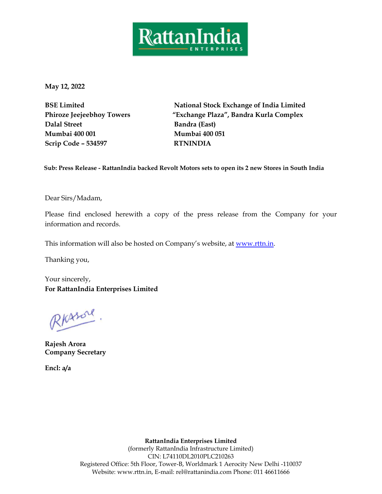

**May 12, 2022**

**BSE Limited Phiroze Jeejeebhoy Towers Dalal Street Mumbai 400 001 Scrip Code – 534597 RTNINDIA** 

**National Stock Exchange of India Limited "Exchange Plaza", Bandra Kurla Complex Bandra (East) Mumbai 400 051**

**Sub: Press Release - RattanIndia backed Revolt Motors sets to open its 2 new Stores in South India**

Dear Sirs/Madam,

Please find enclosed herewith a copy of the press release from the Company for your information and records.

This information will also be hosted on Company's website, at [www.rttn.in.](http://www.rttn.in/)

Thanking you,

Your sincerely, **For RattanIndia Enterprises Limited** 

RKASOL

**Rajesh Arora Company Secretary** 

**Encl: a/a** 

**RattanIndia Enterprises Limited** (formerly RattanIndia Infrastructure Limited) CIN: L74110DL2010PLC210263 Registered Office: 5th Floor, Tower-B, Worldmark 1 Aerocity New Delhi -110037 Website: www.rttn.in, E-mail: [rel@rattanindia.com](mailto:rel@rattanindia.com) Phone: 011 46611666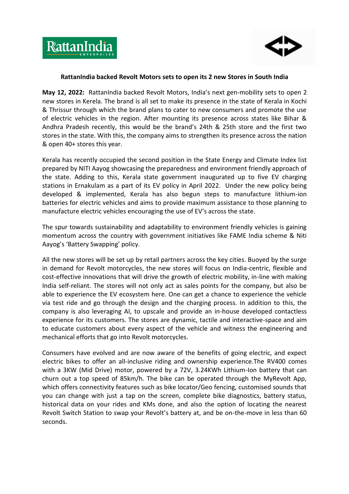



## **RattanIndia backed Revolt Motors sets to open its 2 new Stores in South India**

**May 12, 2022:** RattanIndia backed Revolt Motors, India's next gen-mobility sets to open 2 new stores in Kerela. The brand is all set to make its presence in the state of Kerala in Kochi & Thrissur through which the brand plans to cater to new consumers and promote the use of electric vehicles in the region. After mounting its presence across states like Bihar & Andhra Pradesh recently, this would be the brand's 24th & 25th store and the first two stores in the state. With this, the company aims to strengthen its presence across the nation & open 40+ stores this year.

Kerala has recently occupied the second position in the State Energy and Climate Index list prepared by NITI Aayog showcasing the preparedness and environment friendly approach of the state. Adding to this, Kerala state government inaugurated up to five EV charging stations in Ernakulam as a part of its EV policy in April 2022. Under the new policy being developed & implemented, Kerala has also begun steps to manufacture lithium-ion batteries for electric vehicles and aims to provide maximum assistance to those planning to manufacture electric vehicles encouraging the use of EV's across the state.

The spur towards sustainability and adaptability to environment friendly vehicles is gaining momentum across the country with government initiatives like FAME India scheme & Niti Aayog's 'Battery Swapping' policy.

All the new stores will be set up by retail partners across the key cities. Buoyed by the surge in demand for Revolt motorcycles, the new stores will focus on India-centric, flexible and cost-effective innovations that will drive the growth of electric mobility, in-line with making India self-reliant. The stores will not only act as sales points for the company, but also be able to experience the EV ecosystem here. One can get a chance to experience the vehicle via test ride and go through the design and the charging process. In addition to this, the company is also leveraging AI, to upscale and provide an in-house developed contactless experience for its customers. The stores are dynamic, tactile and interactive-space and aim to educate customers about every aspect of the vehicle and witness the engineering and mechanical efforts that go into Revolt motorcycles.

Consumers have evolved and are now aware of the benefits of going electric, and expect electric bikes to offer an all-inclusive riding and ownership experience.The RV400 comes with a 3KW (Mid Drive) motor, powered by a 72V, 3.24KWh Lithium-Ion battery that can churn out a top speed of 85km/h. The bike can be operated through the MyRevolt App, which offers connectivity features such as bike locator/Geo fencing, customised sounds that you can change with just a tap on the screen, complete bike diagnostics, battery status, historical data on your rides and KMs done, and also the option of locating the nearest Revolt Switch Station to swap your Revolt's battery at, and be on-the-move in less than 60 seconds.